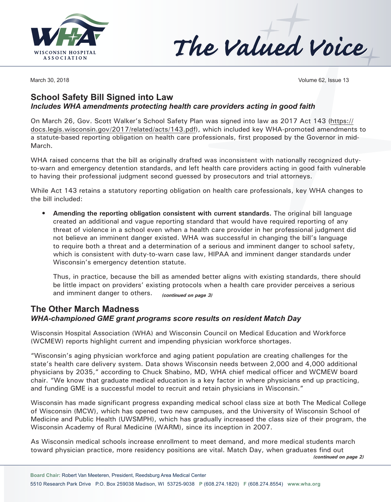



March 30, 2018 **Volume 62**, Issue 13

## **School Safety Bill Signed into Law** *Includes WHA amendments protecting health care providers acting in good faith*

On March 26, Gov. Scott Walker's School Safety Plan was signed into law as 2017 Act 143 [\(https://](https://docs.legis.wisconsin.gov/2017/related/acts/143.pdf) [docs.legis.wisconsin.gov/2017/related/acts/143.pdf](https://docs.legis.wisconsin.gov/2017/related/acts/143.pdf)), which included key WHA-promoted amendments to a statute-based reporting obligation on health care professionals, first proposed by the Governor in mid-March.

WHA raised concerns that the bill as originally drafted was inconsistent with nationally recognized dutyto-warn and emergency detention standards, and left health care providers acting in good faith vulnerable to having their professional judgment second guessed by prosecutors and trial attorneys.

While Act 143 retains a statutory reporting obligation on health care professionals, key WHA changes to the bill included:

**• Amending the reporting obligation consistent with current standards.** The original bill language created an additional and vague reporting standard that would have required reporting of any threat of violence in a school even when a health care provider in her professional judgment did not believe an imminent danger existed. WHA was successful in changing the bill's language to require both a threat and a determination of a serious and imminent danger to school safety, which is consistent with duty-to-warn case law, HIPAA and imminent danger standards under Wisconsin's emergency detention statute.

Thus, in practice, because the bill as amended better aligns with existing standards, there should be little impact on providers' existing protocols when a health care provider perceives a serious and imminent danger to others. *(continued on page 3)*

# **The Other March Madness**  *WHA-championed GME grant programs score results on resident Match Day*

Wisconsin Hospital Association (WHA) and Wisconsin Council on Medical Education and Workforce (WCMEW) reports highlight current and impending physician workforce shortages.

"Wisconsin's aging physician workforce and aging patient population are creating challenges for the state's health care delivery system. Data shows Wisconsin needs between 2,000 and 4,000 additional physicians by 2035," according to Chuck Shabino, MD, WHA chief medical officer and WCMEW board chair. "We know that graduate medical education is a key factor in where physicians end up practicing, and funding GME is a successful model to recruit and retain physicians in Wisconsin."

Wisconsin has made significant progress expanding medical school class size at both The Medical College of Wisconsin (MCW), which has opened two new campuses, and the University of Wisconsin School of Medicine and Public Health (UWSMPH), which has gradually increased the class size of their program, the Wisconsin Academy of Rural Medicine (WARM), since its inception in 2007.

As Wisconsin medical schools increase enrollment to meet demand, and more medical students march toward physician practice, more residency positions are vital. Match Day, when graduates find out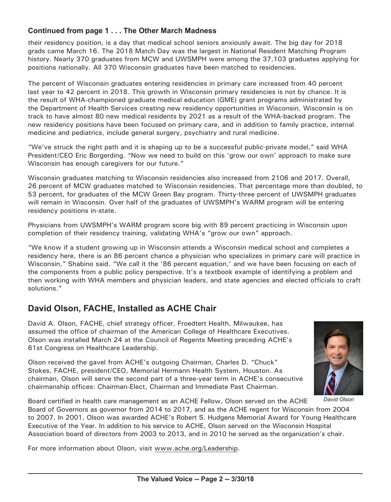#### **Continued from page 1 . . . The Other March Madness**

their residency position, is a day that medical school seniors anxiously await. The big day for 2018 grads came March 16. The 2018 Match Day was the largest in National Resident Matching Program history. Nearly 370 graduates from MCW and UWSMPH were among the 37,103 graduates applying for positions nationally. All 370 Wisconsin graduates have been matched to residencies.

The percent of Wisconsin graduates entering residencies in primary care increased from 40 percent last year to 42 percent in 2018. This growth in Wisconsin primary residencies is not by chance. It is the result of WHA-championed graduate medical education (GME) grant programs administrated by the Department of Health Services creating new residency opportunities in Wisconsin. Wisconsin is on track to have almost 80 new medical residents by 2021 as a result of the WHA-backed program. The new residency positions have been focused on primary care, and in addition to family practice, internal medicine and pediatrics, include general surgery, psychiatry and rural medicine.

"We've struck the right path and it is shaping up to be a successful public-private model," said WHA President/CEO Eric Borgerding. "Now we need to build on this 'grow our own' approach to make sure Wisconsin has enough caregivers for our future."

Wisconsin graduates matching to Wisconsin residencies also increased from 2106 and 2017. Overall, 26 percent of MCW graduates matched to Wisconsin residencies. That percentage more than doubled, to 53 percent, for graduates of the MCW Green Bay program. Thirty-three percent of UWSMPH graduates will remain in Wisconsin. Over half of the graduates of UWSMPH's WARM program will be entering residency positions in-state.

Physicians from UWSMPH's WARM program score big with 89 percent practicing in Wisconsin upon completion of their residency training, validating WHA's "grow our own" approach.

"We know if a student growing up in Wisconsin attends a Wisconsin medical school and completes a residency here, there is an 86 percent chance a physician who specializes in primary care will practice in Wisconsin," Shabino said. "We call it the '86 percent equation,' and we have been focusing on each of the components from a public policy perspective. It's a textbook example of identifying a problem and then working with WHA members and physician leaders, and state agencies and elected officials to craft solutions."

# **David Olson, FACHE, Installed as ACHE Chair**

David A. Olson, FACHE, chief strategy officer, Froedtert Health, Milwaukee, has assumed the office of chairman of the American College of Healthcare Executives. Olson was installed March 24 at the Council of Regents Meeting preceding ACHE's 61st Congress on Healthcare Leadership.

Olson received the gavel from ACHE's outgoing Chairman, Charles D. "Chuck" Stokes, FACHE, president/CEO, Memorial Hermann Health System, Houston. As chairman, Olson will serve the second part of a three-year term in ACHE's consecutive chairmanship offices: Chairman-Elect, Chairman and Immediate Past Chairman.



*David Olson*

Board certified in health care management as an ACHE Fellow, Olson served on the ACHE Board of Governors as governor from 2014 to 2017, and as the ACHE regent for Wisconsin from 2004 to 2007. In 2001, Olson was awarded ACHE's Robert S. Hudgens Memorial Award for Young Healthcare Executive of the Year. In addition to his service to ACHE, Olson served on the Wisconsin Hospital Association board of directors from 2003 to 2013, and in 2010 he served as the organization's chair.

For more information about Olson, visit [www.ache.org/Leadership](http://www.ache.org/Leadership).